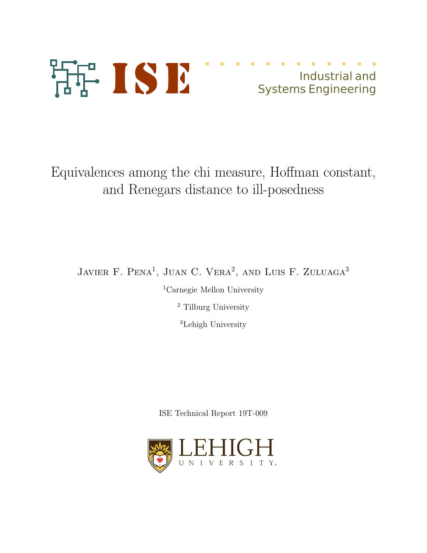

# Industrial and Systems Engineering

Equivalences among the chi measure, Hoffman constant, and Renegars distance to ill-posedness

JAVIER F. PENA<sup>1</sup>, JUAN C. VERA<sup>2</sup>, AND LUIS F. ZULUAGA<sup>3</sup>

<sup>1</sup>Carnegie Mellon University

<sup>2</sup> Tilburg University

<sup>3</sup>Lehigh University

ISE Technical Report 19T-009

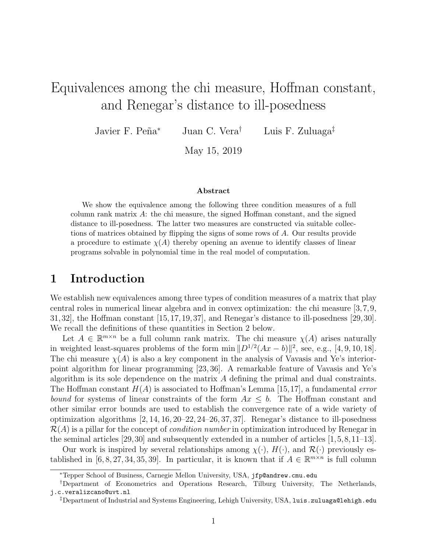# Equivalences among the chi measure, Hoffman constant, and Renegar's distance to ill-posedness

Javier F. Peña<sup>\*</sup> Juan C. Vera<sup>†</sup> Luis F. Zuluaga<sup>‡</sup>

May 15, 2019

#### Abstract

We show the equivalence among the following three condition measures of a full column rank matrix A: the chi measure, the signed Hoffman constant, and the signed distance to ill-posedness. The latter two measures are constructed via suitable collections of matrices obtained by flipping the signs of some rows of A. Our results provide a procedure to estimate  $\chi(A)$  thereby opening an avenue to identify classes of linear programs solvable in polynomial time in the real model of computation.

### 1 Introduction

We establish new equivalences among three types of condition measures of a matrix that play central roles in numerical linear algebra and in convex optimization: the chi measure [3,7,9, 31,32], the Hoffman constant [15,17,19,37], and Renegar's distance to ill-posedness [29,30]. We recall the definitions of these quantities in Section 2 below.

Let  $A \in \mathbb{R}^{m \times n}$  be a full column rank matrix. The chi measure  $\chi(A)$  arises naturally in weighted least-squares problems of the form  $\min \|D^{1/2}(Ax - b)\|^2$ , see, e.g., [4, 9, 10, 18]. The chi measure  $\chi(A)$  is also a key component in the analysis of Vavasis and Ye's interiorpoint algorithm for linear programming [23, 36]. A remarkable feature of Vavasis and Ye's algorithm is its sole dependence on the matrix A defining the primal and dual constraints. The Hoffman constant  $H(A)$  is associated to Hoffman's Lemma [15,17], a fundamental *error* bound for systems of linear constraints of the form  $Ax \leq b$ . The Hoffman constant and other similar error bounds are used to establish the convergence rate of a wide variety of optimization algorithms [2, 14, 16, 20–22, 24–26, 37, 37]. Renegar's distance to ill-posedness  $\mathcal{R}(A)$  is a pillar for the concept of *condition number* in optimization introduced by Renegar in the seminal articles [29,30] and subsequently extended in a number of articles [1,5,8,11–13].

Our work is inspired by several relationships among  $\chi(\cdot)$ ,  $H(\cdot)$ , and  $\mathcal{R}(\cdot)$  previously established in [6, 8, 27, 34, 35, 39]. In particular, it is known that if  $A \in \mathbb{R}^{m \times n}$  is full column

<sup>∗</sup>Tepper School of Business, Carnegie Mellon University, USA, jfp@andrew.cmu.edu

<sup>†</sup>Department of Econometrics and Operations Research, Tilburg University, The Netherlands, j.c.veralizcano@uvt.nl

<sup>‡</sup>Department of Industrial and Systems Engineering, Lehigh University, USA, luis.zuluaga@lehigh.edu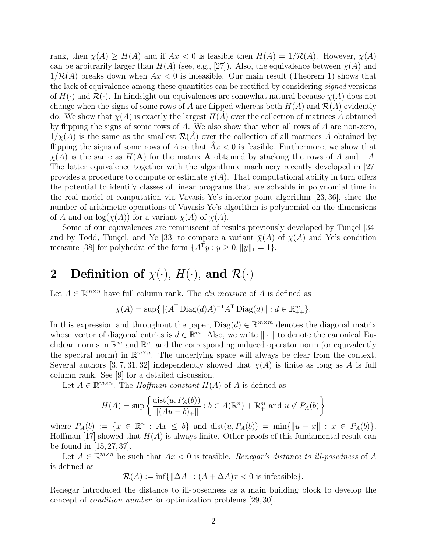rank, then  $\chi(A) \geq H(A)$  and if  $Ax < 0$  is feasible then  $H(A) = 1/R(A)$ . However,  $\chi(A)$ can be arbitrarily larger than  $H(A)$  (see, e.g., [27]). Also, the equivalence between  $\chi(A)$  and  $1/\mathcal{R}(A)$  breaks down when  $Ax < 0$  is infeasible. Our main result (Theorem 1) shows that the lack of equivalence among these quantities can be rectified by considering *signed* versions of  $H(\cdot)$  and  $\mathcal{R}(\cdot)$ . In hindsight our equivalences are somewhat natural because  $\chi(A)$  does not change when the signs of some rows of A are flipped whereas both  $H(A)$  and  $\mathcal{R}(A)$  evidently do. We show that  $\chi(A)$  is exactly the largest  $H(A)$  over the collection of matrices A obtained by flipping the signs of some rows of A. We also show that when all rows of A are non-zero,  $1/\chi(A)$  is the same as the smallest  $\mathcal{R}(A)$  over the collection of all matrices A obtained by flipping the signs of some rows of A so that  $Ax < 0$  is feasible. Furthermore, we show that  $\chi(A)$  is the same as  $H(A)$  for the matrix A obtained by stacking the rows of A and  $-A$ . The latter equivalence together with the algorithmic machinery recently developed in [27] provides a procedure to compute or estimate  $\chi(A)$ . That computational ability in turn offers the potential to identify classes of linear programs that are solvable in polynomial time in the real model of computation via Vavasis-Ye's interior-point algorithm [23, 36], since the number of arithmetic operations of Vavasis-Ye's algorithm is polynomial on the dimensions of A and on  $\log(\bar{\chi}(A))$  for a variant  $\bar{\chi}(A)$  of  $\chi(A)$ .

Some of our equivalences are reminiscent of results previously developed by Tunçel [34] and by Todd, Tunçel, and Ye [33] to compare a variant  $\bar{\chi}(A)$  of  $\chi(A)$  and Ye's condition measure [38] for polyhedra of the form  $\{A^{\mathsf{T}} y : y \ge 0, ||y||_1 = 1\}.$ 

## 2 Definition of  $\chi(\cdot)$ ,  $H(\cdot)$ , and  $\mathcal{R}(\cdot)$

Let  $A \in \mathbb{R}^{m \times n}$  have full column rank. The *chi measure* of A is defined as

$$
\chi(A) = \sup \{ \| (A^{\mathsf{T}} \operatorname{Diag}(d) A)^{-1} A^{\mathsf{T}} \operatorname{Diag}(d) \| : d \in \mathbb{R}_{++}^m \}.
$$

In this expression and throughout the paper,  $Diag(d) \in \mathbb{R}^{m \times m}$  denotes the diagonal matrix whose vector of diagonal entries is  $d \in \mathbb{R}^m$ . Also, we write  $\|\cdot\|$  to denote the canonical Euclidean norms in  $\mathbb{R}^m$  and  $\mathbb{R}^n$ , and the corresponding induced operator norm (or equivalently the spectral norm) in  $\mathbb{R}^{m \times n}$ . The underlying space will always be clear from the context. Several authors [3, 7, 31, 32] independently showed that  $\chi(A)$  is finite as long as A is full column rank. See [9] for a detailed discussion.

Let  $A \in \mathbb{R}^{m \times n}$ . The *Hoffman constant*  $H(A)$  of A is defined as

$$
H(A) = \sup \left\{ \frac{\text{dist}(u, P_A(b))}{\|(Au - b)_+\|} : b \in A(\mathbb{R}^n) + \mathbb{R}_+^m \text{ and } u \notin P_A(b) \right\}
$$

where  $P_A(b) := \{x \in \mathbb{R}^n : Ax \leq b\}$  and  $dist(u, P_A(b)) = \min\{||u - x|| : x \in P_A(b)\}.$ Hoffman [17] showed that  $H(A)$  is always finite. Other proofs of this fundamental result can be found in [15, 27, 37].

Let  $A \in \mathbb{R}^{m \times n}$  be such that  $Ax < 0$  is feasible. Renegar's distance to ill-posedness of A is defined as

$$
\mathcal{R}(A) := \inf \{ \| \Delta A \| : (A + \Delta A)x < 0 \text{ is infeasible} \}.
$$

Renegar introduced the distance to ill-posedness as a main building block to develop the concept of condition number for optimization problems [29, 30].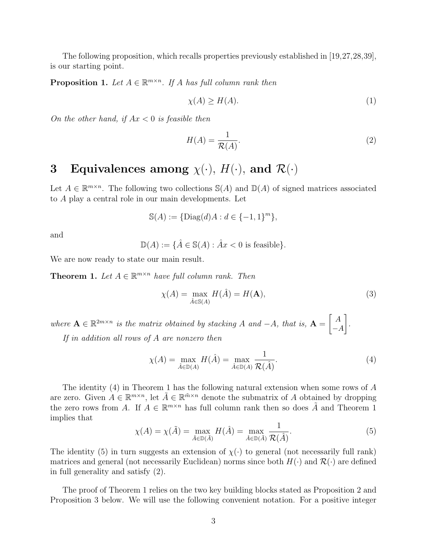The following proposition, which recalls properties previously established in [19,27,28,39], is our starting point.

**Proposition 1.** Let  $A \in \mathbb{R}^{m \times n}$ . If A has full column rank then

$$
\chi(A) \ge H(A). \tag{1}
$$

On the other hand, if  $Ax < 0$  is feasible then

$$
H(A) = \frac{1}{\mathcal{R}(A)}.\t(2)
$$

# 3 Equivalences among  $\chi(\cdot)$ ,  $H(\cdot)$ , and  $\mathcal{R}(\cdot)$

Let  $A \in \mathbb{R}^{m \times n}$ . The following two collections  $\mathbb{S}(A)$  and  $\mathbb{D}(A)$  of signed matrices associated to A play a central role in our main developments. Let

$$
\mathbb{S}(A) := \{ \text{Diag}(d)A : d \in \{-1, 1\}^m \},
$$

and

$$
\mathbb{D}(A) := \{ \hat{A} \in \mathbb{S}(A) : \hat{A}x < 0 \text{ is feasible} \}.
$$

We are now ready to state our main result.

**Theorem 1.** Let  $A \in \mathbb{R}^{m \times n}$  have full column rank. Then

$$
\chi(A) = \max_{\hat{A} \in \mathbb{S}(A)} H(\hat{A}) = H(\mathbf{A}),\tag{3}
$$

where  $\mathbf{A} \in \mathbb{R}^{2m \times n}$  is the matrix obtained by stacking A and  $-A$ , that is,  $\mathbf{A} =$  $\int A$  $-A$ 1 . If in addition all rows of A are nonzero then

$$
\chi(A) = \max_{\hat{A} \in \mathbb{D}(A)} H(\hat{A}) = \max_{\hat{A} \in \mathbb{D}(A)} \frac{1}{\mathcal{R}(\hat{A})}.
$$
\n(4)

The identity (4) in Theorem 1 has the following natural extension when some rows of A are zero. Given  $A \in \mathbb{R}^{m \times n}$ , let  $\tilde{A} \in \mathbb{R}^{\tilde{m} \times n}$  denote the submatrix of A obtained by dropping the zero rows from A. If  $A \in \mathbb{R}^{m \times n}$  has full column rank then so does  $\tilde{A}$  and Theorem 1 implies that

$$
\chi(A) = \chi(\tilde{A}) = \max_{\tilde{A} \in \mathbb{D}(\tilde{A})} H(\hat{A}) = \max_{\tilde{A} \in \mathbb{D}(\tilde{A})} \frac{1}{\mathcal{R}(\hat{A})}.
$$
(5)

The identity (5) in turn suggests an extension of  $\chi(\cdot)$  to general (not necessarily full rank) matrices and general (not necessarily Euclidean) norms since both  $H(\cdot)$  and  $\mathcal{R}(\cdot)$  are defined in full generality and satisfy (2).

The proof of Theorem 1 relies on the two key building blocks stated as Proposition 2 and Proposition 3 below. We will use the following convenient notation. For a positive integer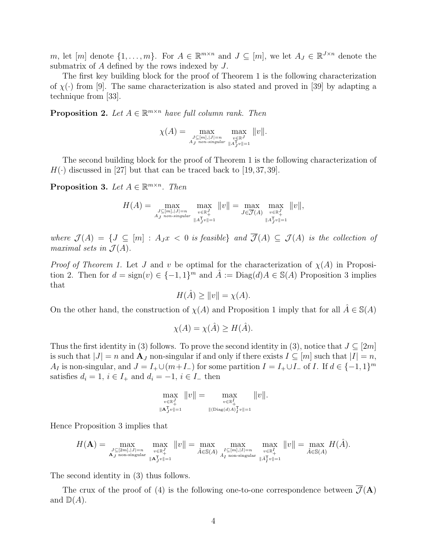m, let  $[m]$  denote  $\{1,\ldots,m\}$ . For  $A \in \mathbb{R}^{m \times n}$  and  $J \subseteq [m]$ , we let  $A_J \in \mathbb{R}^{J \times n}$  denote the submatrix of A defined by the rows indexed by J.

The first key building block for the proof of Theorem 1 is the following characterization of  $\chi(\cdot)$  from [9]. The same characterization is also stated and proved in [39] by adapting a technique from [33].

**Proposition 2.** Let  $A \in \mathbb{R}^{m \times n}$  have full column rank. Then

$$
\chi(A) = \max_{\substack{J \subseteq [m], |J| = n \\ A_J \text{ non-singular}}} \max_{\substack{v \in \mathbb{R}^J \\ \|A_J^T v\| = 1}} \|v\|.
$$

The second building block for the proof of Theorem 1 is the following characterization of  $H(\cdot)$  discussed in [27] but that can be traced back to [19,37,39].

**Proposition 3.** Let  $A \in \mathbb{R}^{m \times n}$ . Then

$$
H(A) = \max_{\substack{J \subseteq [m], |J| = n \\ A_J \text{ non-singular} \\ ||A_J^T v|| = 1}} \max_{\substack{v \in \mathbb{R}_+^J \\ v \in \mathbb{R}_+^J}} ||v|| = \max_{J \in \overline{\mathcal{J}}(A)} \max_{\substack{v \in \mathbb{R}_+^J \\ u \in \mathbb{R}_+^J}} ||v||,
$$

where  $\mathcal{J}(A) = \{J \subseteq [m] : A_J x < 0 \text{ is feasible}\}\$ and  $\overline{\mathcal{J}}(A) \subseteq \mathcal{J}(A)$  is the collection of maximal sets in  $\mathcal{J}(A)$ .

*Proof of Theorem 1.* Let J and v be optimal for the characterization of  $\chi(A)$  in Proposition 2. Then for  $d = \text{sign}(v) \in \{-1,1\}^m$  and  $\hat{A} := \text{Diag}(d)A \in \mathbb{S}(A)$  Proposition 3 implies that

$$
H(\hat{A}) \ge ||v|| = \chi(A).
$$

On the other hand, the construction of  $\chi(A)$  and Proposition 1 imply that for all  $A \in \mathcal{S}(A)$ 

$$
\chi(A) = \chi(\hat{A}) \ge H(\hat{A}).
$$

Thus the first identity in (3) follows. To prove the second identity in (3), notice that  $J \subseteq [2m]$ is such that  $|J| = n$  and  $\mathbf{A}_J$  non-singular if and only if there exists  $I \subseteq [m]$  such that  $|I| = n$ , A<sub>I</sub> is non-singular, and  $J = I_+ \cup (m + I_-)$  for some partition  $I = I_+ \cup I_-$  of I. If  $d \in \{-1, 1\}^m$ satisfies  $d_i = 1$ ,  $i \in I_+$  and  $d_i = -1$ ,  $i \in I_-$  then

$$
\max_{\substack{v \in \mathbb{R}_+^J \\ \|\mathbf{A}_J^T v\| = 1}} \|v\| = \max_{\substack{v \in \mathbb{R}_+^I \\ \|\text{Diag}(d)A_J^T v\| = 1}} \|v\|.
$$

Hence Proposition 3 implies that

$$
H(\mathbf{A}) = \max_{\substack{J \subseteq [2m], |J| = n \\ \mathbf{A}_J \text{ non-singular}}} \max_{\substack{v \in \mathbb{R}_+^J \\ \|\mathbf{A}_J^\mathsf{T} v\| = 1}} \|v\| = \max_{\hat{A} \in \mathbb{S}(A)} \max_{\substack{I \subseteq [m], |I| = n \\ \hat{A}_I \text{ non-singular}}} \max_{\substack{v \in \mathbb{R}_+^I \\ \|\hat{A}_I^\mathsf{T} v\| = 1}} \|v\| = \max_{\hat{A} \in \mathbb{S}(A)} H(\hat{A}).
$$

The second identity in (3) thus follows.

The crux of the proof of (4) is the following one-to-one correspondence between  $\overline{\mathcal{J}}(A)$ and  $\mathbb{D}(A)$ .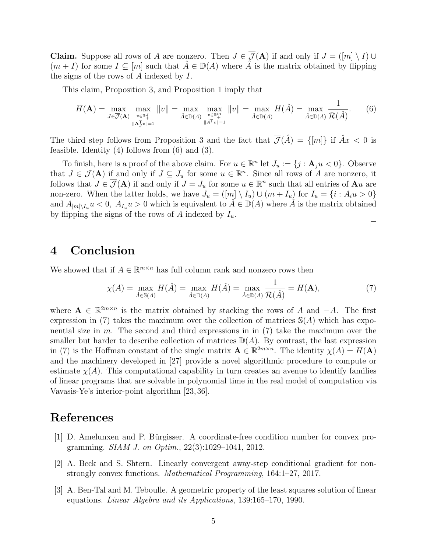Claim. Suppose all rows of A are nonzero. Then  $J \in \overline{\mathcal{J}}(A)$  if and only if  $J = (\lfloor m \rfloor \setminus I) \cup$  $(m+I)$  for some  $I \subseteq [m]$  such that  $\hat{A} \in \mathbb{D}(A)$  where  $\hat{A}$  is the matrix obtained by flipping the signs of the rows of A indexed by I.

This claim, Proposition 3, and Proposition 1 imply that

$$
H(\mathbf{A}) = \max_{J \in \overline{\mathcal{J}}(\mathbf{A})} \max_{\substack{v \in \mathbb{R}_+^J \\ \|\mathbf{A}_J^T v\| = 1}} \|v\| = \max_{\hat{A} \in \mathbb{D}(A)} \max_{\substack{v \in \mathbb{R}_+^m \\ \|\hat{A}^T v\| = 1}} \|v\| = \max_{\hat{A} \in \mathbb{D}(A)} H(\hat{A}) = \max_{\hat{A} \in \mathbb{D}(A)} \frac{1}{\mathcal{R}(\hat{A})}.
$$
 (6)

The third step follows from Proposition 3 and the fact that  $\overline{\mathcal{J}}(\hat{A}) = \{[m]\}\$ if  $\hat{A}x < 0$  is feasible. Identity  $(4)$  follows from  $(6)$  and  $(3)$ .

To finish, here is a proof of the above claim. For  $u \in \mathbb{R}^n$  let  $J_u := \{j : \mathbf{A}_j u < 0\}$ . Observe that  $J \in \mathcal{J}(\mathbf{A})$  if and only if  $J \subseteq J_u$  for some  $u \in \mathbb{R}^n$ . Since all rows of A are nonzero, it follows that  $J \in \overline{\mathcal{J}}(A)$  if and only if  $J = J_u$  for some  $u \in \mathbb{R}^n$  such that all entries of  $\mathbf{A}u$  are non-zero. When the latter holds, we have  $J_u = ([m] \setminus I_u) \cup (m + I_u)$  for  $I_u = \{i : A_i u > 0\}$ and  $A_{[m]\setminus I_u}u < 0$ ,  $A_{I_u}u > 0$  which is equivalent to  $A \in \mathbb{D}(A)$  where  $\hat{A}$  is the matrix obtained by flipping the signs of the rows of A indexed by  $I_u$ .

 $\Box$ 

### 4 Conclusion

We showed that if  $A \in \mathbb{R}^{m \times n}$  has full column rank and nonzero rows then

$$
\chi(A) = \max_{\hat{A} \in \mathbb{S}(A)} H(\hat{A}) = \max_{\hat{A} \in \mathbb{D}(A)} H(\hat{A}) = \max_{\hat{A} \in \mathbb{D}(A)} \frac{1}{\mathcal{R}(\hat{A})} = H(\mathbf{A}),\tag{7}
$$

where  $\mathbf{A} \in \mathbb{R}^{2m \times n}$  is the matrix obtained by stacking the rows of A and  $-A$ . The first expression in (7) takes the maximum over the collection of matrices  $\mathcal{S}(A)$  which has exponential size in  $m$ . The second and third expressions in in  $(7)$  take the maximum over the smaller but harder to describe collection of matrices  $\mathbb{D}(A)$ . By contrast, the last expression in (7) is the Hoffman constant of the single matrix  $\mathbf{A} \in \mathbb{R}^{2m \times n}$ . The identity  $\chi(A) = H(\mathbf{A})$ and the machinery developed in [27] provide a novel algorithmic procedure to compute or estimate  $\chi(A)$ . This computational capability in turn creates an avenue to identify families of linear programs that are solvable in polynomial time in the real model of computation via Vavasis-Ye's interior-point algorithm [23, 36].

### References

- [1] D. Amelunxen and P. Bürgisser. A coordinate-free condition number for convex programming. SIAM J. on Optim., 22(3):1029–1041, 2012.
- [2] A. Beck and S. Shtern. Linearly convergent away-step conditional gradient for nonstrongly convex functions. Mathematical Programming, 164:1–27, 2017.
- [3] A. Ben-Tal and M. Teboulle. A geometric property of the least squares solution of linear equations. Linear Algebra and its Applications, 139:165–170, 1990.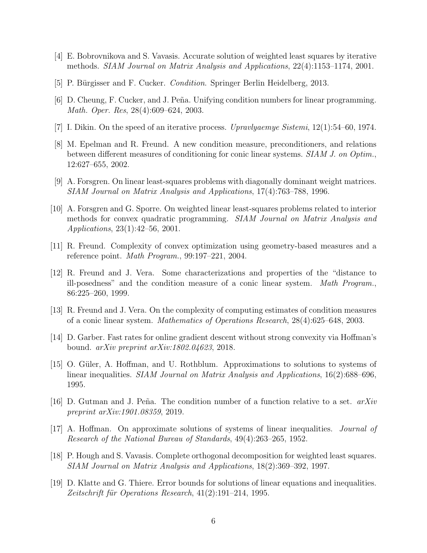- [4] E. Bobrovnikova and S. Vavasis. Accurate solution of weighted least squares by iterative methods. SIAM Journal on Matrix Analysis and Applications, 22(4):1153–1174, 2001.
- [5] P. Bürgisser and F. Cucker. *Condition*. Springer Berlin Heidelberg, 2013.
- [6] D. Cheung, F. Cucker, and J. Peña. Unifying condition numbers for linear programming. Math. Oper. Res, 28(4):609–624, 2003.
- [7] I. Dikin. On the speed of an iterative process. Upravlyaemye Sistemi, 12(1):54–60, 1974.
- [8] M. Epelman and R. Freund. A new condition measure, preconditioners, and relations between different measures of conditioning for conic linear systems. SIAM J. on Optim., 12:627–655, 2002.
- [9] A. Forsgren. On linear least-squares problems with diagonally dominant weight matrices. SIAM Journal on Matrix Analysis and Applications, 17(4):763–788, 1996.
- [10] A. Forsgren and G. Sporre. On weighted linear least-squares problems related to interior methods for convex quadratic programming. SIAM Journal on Matrix Analysis and Applications, 23(1):42–56, 2001.
- [11] R. Freund. Complexity of convex optimization using geometry-based measures and a reference point. *Math Program.*,  $99:197-221$ ,  $2004$ .
- [12] R. Freund and J. Vera. Some characterizations and properties of the "distance to ill-posedness" and the condition measure of a conic linear system. *Math Program.*, 86:225–260, 1999.
- [13] R. Freund and J. Vera. On the complexity of computing estimates of condition measures of a conic linear system. Mathematics of Operations Research, 28(4):625–648, 2003.
- [14] D. Garber. Fast rates for online gradient descent without strong convexity via Hoffman's bound. arXiv preprint arXiv:1802.04623, 2018.
- [15] O. Güler, A. Hoffman, and U. Rothblum. Approximations to solutions to systems of linear inequalities. *SIAM Journal on Matrix Analysis and Applications*, 16(2):688–696, 1995.
- [16] D. Gutman and J. Peña. The condition number of a function relative to a set.  $arXiv$ preprint arXiv:1901.08359, 2019.
- [17] A. Hoffman. On approximate solutions of systems of linear inequalities. Journal of Research of the National Bureau of Standards, 49(4):263–265, 1952.
- [18] P. Hough and S. Vavasis. Complete orthogonal decomposition for weighted least squares. SIAM Journal on Matrix Analysis and Applications, 18(2):369–392, 1997.
- [19] D. Klatte and G. Thiere. Error bounds for solutions of linear equations and inequalities. Zeitschrift für Operations Research,  $41(2):191-214$ , 1995.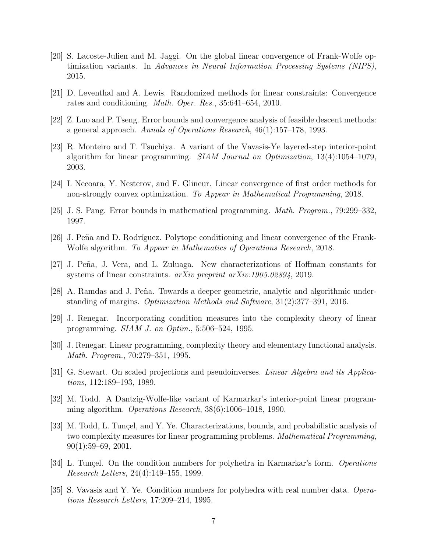- [20] S. Lacoste-Julien and M. Jaggi. On the global linear convergence of Frank-Wolfe optimization variants. In Advances in Neural Information Processing Systems (NIPS), 2015.
- [21] D. Leventhal and A. Lewis. Randomized methods for linear constraints: Convergence rates and conditioning. Math. Oper. Res., 35:641–654, 2010.
- [22] Z. Luo and P. Tseng. Error bounds and convergence analysis of feasible descent methods: a general approach. Annals of Operations Research, 46(1):157–178, 1993.
- [23] R. Monteiro and T. Tsuchiya. A variant of the Vavasis-Ye layered-step interior-point algorithm for linear programming. SIAM Journal on Optimization, 13(4):1054–1079, 2003.
- [24] I. Necoara, Y. Nesterov, and F. Glineur. Linear convergence of first order methods for non-strongly convex optimization. To Appear in Mathematical Programming, 2018.
- [25] J. S. Pang. Error bounds in mathematical programming. Math. Program., 79:299–332, 1997.
- [26] J. Peña and D. Rodríguez. Polytope conditioning and linear convergence of the Frank-Wolfe algorithm. To Appear in Mathematics of Operations Research, 2018.
- [27] J. Peña, J. Vera, and L. Zuluaga. New characterizations of Hoffman constants for systems of linear constraints.  $arXiv$  preprint  $arXiv:1905.02894$ , 2019.
- [28] A. Ramdas and J. Peña. Towards a deeper geometric, analytic and algorithmic understanding of margins. Optimization Methods and Software, 31(2):377–391, 2016.
- [29] J. Renegar. Incorporating condition measures into the complexity theory of linear programming. SIAM J. on Optim., 5:506–524, 1995.
- [30] J. Renegar. Linear programming, complexity theory and elementary functional analysis. Math. Program., 70:279–351, 1995.
- [31] G. Stewart. On scaled projections and pseudoinverses. Linear Algebra and its Applications, 112:189–193, 1989.
- [32] M. Todd. A Dantzig-Wolfe-like variant of Karmarkar's interior-point linear programming algorithm. Operations Research, 38(6):1006–1018, 1990.
- [33] M. Todd, L. Tunçel, and Y. Ye. Characterizations, bounds, and probabilistic analysis of two complexity measures for linear programming problems. Mathematical Programming, 90(1):59–69, 2001.
- [34] L. Tunçel. On the condition numbers for polyhedra in Karmarkar's form. *Operations* Research Letters, 24(4):149–155, 1999.
- [35] S. Vavasis and Y. Ye. Condition numbers for polyhedra with real number data. Operations Research Letters, 17:209–214, 1995.